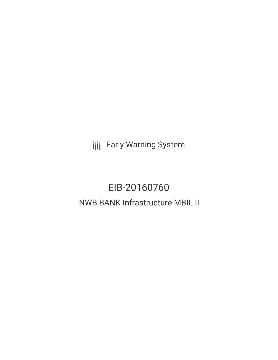**III** Early Warning System

# EIB-20160760 NWB BANK Infrastructure MBIL II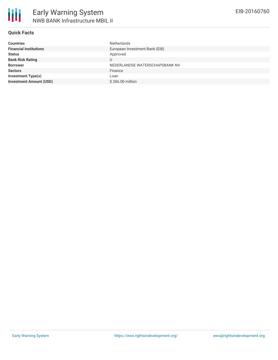

### **Quick Facts**

| <b>Countries</b>               | <b>Netherlands</b>             |
|--------------------------------|--------------------------------|
| <b>Financial Institutions</b>  | European Investment Bank (EIB) |
| <b>Status</b>                  | Approved                       |
| <b>Bank Risk Rating</b>        | U                              |
| <b>Borrower</b>                | NEDERLANDSE WATERSCHAPSBANK NV |
| <b>Sectors</b>                 | Finance                        |
| <b>Investment Type(s)</b>      | Loan                           |
| <b>Investment Amount (USD)</b> | \$266,00 million               |
|                                |                                |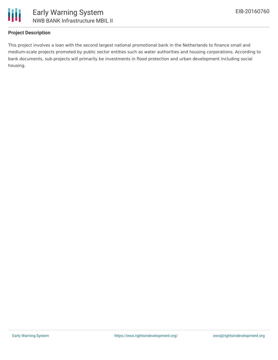

## **Project Description**

This project involves a loan with the second largest national promotional bank in the Netherlands to finance small and medium-scale projects promoted by public sector entities such as water authorities and housing corporations. According to bank documents, sub-projects will primarily be investments in flood protection and urban development including social housing.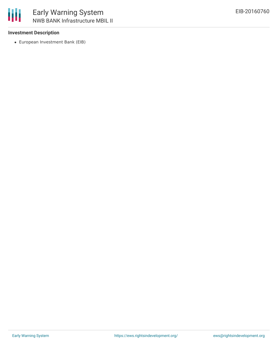### **Investment Description**

European Investment Bank (EIB)